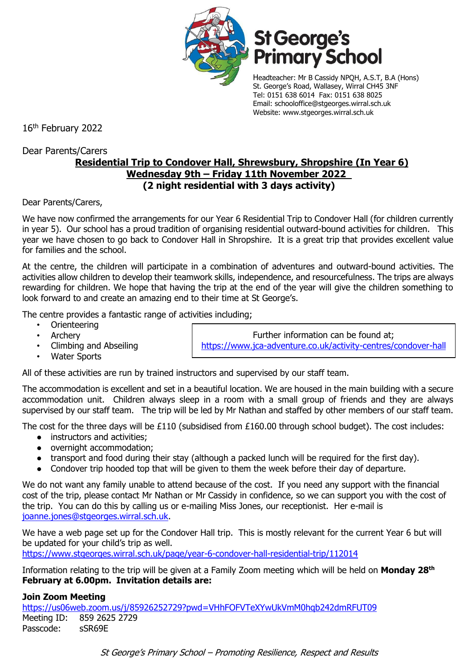

# St George's<br>Primary School

Headteacher: Mr B Cassidy NPQH, A.S.T, B.A (Hons) St. George's Road, Wallasey, Wirral CH45 3NF Tel: 0151 638 6014 Fax: 0151 638 8025 Email: schooloffice@stgeorges.wirral.sch.uk Website: www.stgeorges.wirral.sch.uk

16th February 2022

Dear Parents/Carers

## **Residential Trip to Condover Hall, Shrewsbury, Shropshire (In Year 6) Wednesday 9th – Friday 11th November 2022 (2 night residential with 3 days activity)**

Dear Parents/Carers,

We have now confirmed the arrangements for our Year 6 Residential Trip to Condover Hall (for children currently in year 5). Our school has a proud tradition of organising residential outward-bound activities for children. This year we have chosen to go back to Condover Hall in Shropshire. It is a great trip that provides excellent value for families and the school.

At the centre, the children will participate in a combination of adventures and outward-bound activities. The activities allow children to develop their teamwork skills, independence, and resourcefulness. The trips are always rewarding for children. We hope that having the trip at the end of the year will give the children something to look forward to and create an amazing end to their time at St George's.

The centre provides a fantastic range of activities including;

- Orienteering
- **Archery**
- Climbing and Abseiling
- Water Sports

Further information can be found at; <https://www.jca-adventure.co.uk/activity-centres/condover-hall>

All of these activities are run by trained instructors and supervised by our staff team.

The accommodation is excellent and set in a beautiful location. We are housed in the main building with a secure accommodation unit. Children always sleep in a room with a small group of friends and they are always supervised by our staff team. The trip will be led by Mr Nathan and staffed by other members of our staff team.

The cost for the three days will be £110 (subsidised from £160.00 through school budget). The cost includes:

- instructors and activities;
- overnight accommodation;
- transport and food during their stay (although a packed lunch will be required for the first day).
- Condover trip hooded top that will be given to them the week before their day of departure.

We do not want any family unable to attend because of the cost. If you need any support with the financial cost of the trip, please contact Mr Nathan or Mr Cassidy in confidence, so we can support you with the cost of the trip. You can do this by calling us or e-mailing Miss Jones, our receptionist. Her e-mail is [joanne.jones@stgeorges.wirral.sch.uk.](mailto:joanne.jones@stgeorges.wirral.sch.uk)

We have a web page set up for the Condover Hall trip. This is mostly relevant for the current Year 6 but will be updated for your child's trip as well.

<https://www.stgeorges.wirral.sch.uk/page/year-6-condover-hall-residential-trip/112014>

Information relating to the trip will be given at a Family Zoom meeting which will be held on **Monday 28th February at 6.00pm. Invitation details are:**

#### **Join Zoom Meeting**

<https://us06web.zoom.us/j/85926252729?pwd=VHhFOFVTeXYwUkVmM0hqb242dmRFUT09> Meeting ID: 859 2625 2729 Passcode: sSR69E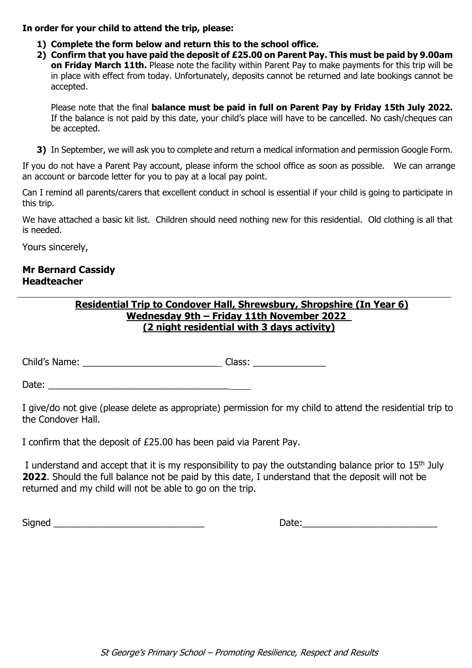#### **In order for your child to attend the trip, please:**

- **1) Complete the form below and return this to the school office.**
- **2) Confirm that you have paid the deposit of £25.00 on Parent Pay. This must be paid by 9.00am on Friday March 11th.** Please note the facility within Parent Pay to make payments for this trip will be in place with effect from today. Unfortunately, deposits cannot be returned and late bookings cannot be accepted.

Please note that the final **balance must be paid in full on Parent Pay by Friday 15th July 2022.** If the balance is not paid by this date, your child's place will have to be cancelled. No cash/cheques can be accepted.

**3)** In September, we will ask you to complete and return a medical information and permission Google Form.

If you do not have a Parent Pay account, please inform the school office as soon as possible. We can arrange an account or barcode letter for you to pay at a local pay point.

Can I remind all parents/carers that excellent conduct in school is essential if your child is going to participate in this trip.

We have attached a basic kit list. Children should need nothing new for this residential. Old clothing is all that is needed.

Yours sincerely,

#### **Mr Bernard Cassidy Headteacher**

### **Residential Trip to Condover Hall, Shrewsbury, Shropshire (In Year 6) Wednesday 9th – Friday 11th November 2022 (2 night residential with 3 days activity)**

Child's Name: <u>December 2008</u> Class: **Class:**  $\alpha$ 

Date: \_\_\_\_\_\_\_\_\_\_\_\_\_\_\_\_\_\_\_\_\_\_\_\_\_\_\_\_\_\_\_\_\_\_\_

I give/do not give (please delete as appropriate) permission for my child to attend the residential trip to the Condover Hall.

I confirm that the deposit of £25.00 has been paid via Parent Pay.

I understand and accept that it is my responsibility to pay the outstanding balance prior to  $15<sup>th</sup>$  July **2022**. Should the full balance not be paid by this date, I understand that the deposit will not be returned and my child will not be able to go on the trip.

Signed **Example 2** and the set of the set of the set of the set of the set of the set of the set of the set of the set of the set of the set of the set of the set of the set of the set of the set of the set of the set of t